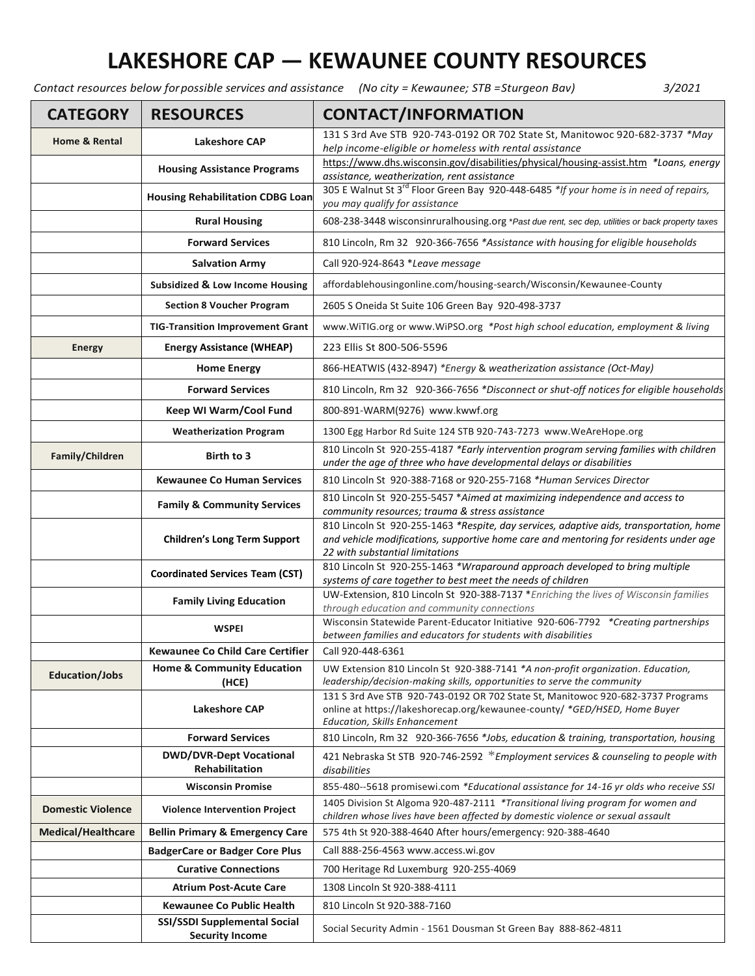## **LAKESHORE CAP — KEWAUNEE COUNTY RESOURCES**

*Contact resources below forpossible services and assistance (No city = Kewaunee; STB =Sturgeon Bav) 3/2021*

| <b>CATEGORY</b>           | <b>RESOURCES</b>                                                              | <b>CONTACT/INFORMATION</b>                                                                                                                                        |
|---------------------------|-------------------------------------------------------------------------------|-------------------------------------------------------------------------------------------------------------------------------------------------------------------|
| <b>Home &amp; Rental</b>  | <b>Lakeshore CAP</b>                                                          | 131 S 3rd Ave STB 920-743-0192 OR 702 State St, Manitowoc 920-682-3737 *May<br>help income-eligible or homeless with rental assistance                            |
|                           | <b>Housing Assistance Programs</b>                                            | https://www.dhs.wisconsin.gov/disabilities/physical/housing-assist.htm *Loans, energy<br>assistance, weatherization, rent assistance                              |
|                           | <b>Housing Rehabilitation CDBG Loan</b>                                       | 305 E Walnut St 3 <sup>rd</sup> Floor Green Bay 920-448-6485 *If your home is in need of repairs,<br>you may qualify for assistance                               |
|                           | <b>Rural Housing</b>                                                          | 608-238-3448 wisconsinruralhousing.org *Past due rent, sec dep, utilities or back property taxes                                                                  |
|                           | <b>Forward Services</b>                                                       | 810 Lincoln, Rm 32 920-366-7656 *Assistance with housing for eligible households                                                                                  |
|                           | <b>Salvation Army</b>                                                         | Call 920-924-8643 *Leave message                                                                                                                                  |
|                           | Subsidized & Low Income Housing                                               | affordablehousingonline.com/housing-search/Wisconsin/Kewaunee-County                                                                                              |
|                           | <b>Section 8 Voucher Program</b>                                              | 2605 S Oneida St Suite 106 Green Bay 920-498-3737                                                                                                                 |
|                           | <b>TIG-Transition Improvement Grant</b>                                       | www.WiTIG.org or www.WiPSO.org *Post high school education, employment & living                                                                                   |
| <b>Energy</b>             | <b>Energy Assistance (WHEAP)</b>                                              | 223 Ellis St 800-506-5596                                                                                                                                         |
|                           | <b>Home Energy</b>                                                            | 866-HEATWIS (432-8947) *Energy & weatherization assistance (Oct-May)                                                                                              |
|                           | <b>Forward Services</b>                                                       | 810 Lincoln, Rm 32 920-366-7656 *Disconnect or shut-off notices for eligible households                                                                           |
|                           | Keep WI Warm/Cool Fund                                                        | 800-891-WARM(9276) www.kwwf.org                                                                                                                                   |
|                           | <b>Weatherization Program</b>                                                 | 1300 Egg Harbor Rd Suite 124 STB 920-743-7273 www.WeAreHope.org                                                                                                   |
|                           | Birth to 3                                                                    | 810 Lincoln St 920-255-4187 *Early intervention program serving families with children                                                                            |
| Family/Children           |                                                                               | under the age of three who have developmental delays or disabilities                                                                                              |
|                           | <b>Kewaunee Co Human Services</b>                                             | 810 Lincoln St 920-388-7168 or 920-255-7168 *Human Services Director                                                                                              |
|                           | <b>Family &amp; Community Services</b>                                        | 810 Lincoln St 920-255-5457 *Aimed at maximizing independence and access to<br>community resources; trauma & stress assistance                                    |
|                           | <b>Children's Long Term Support</b><br><b>Coordinated Services Team (CST)</b> | 810 Lincoln St 920-255-1463 *Respite, day services, adaptive aids, transportation, home                                                                           |
|                           |                                                                               | and vehicle modifications, supportive home care and mentoring for residents under age<br>22 with substantial limitations                                          |
|                           |                                                                               | 810 Lincoln St 920-255-1463 *Wraparound approach developed to bring multiple                                                                                      |
|                           |                                                                               | systems of care together to best meet the needs of children<br>UW-Extension, 810 Lincoln St 920-388-7137 *Enriching the lives of Wisconsin families               |
|                           | <b>Family Living Education</b>                                                | through education and community connections                                                                                                                       |
|                           | <b>WSPEI</b>                                                                  | Wisconsin Statewide Parent-Educator Initiative 920-606-7792 *Creating partnerships<br>between families and educators for students with disabilities               |
|                           | <b>Kewaunee Co Child Care Certifier</b>                                       | Call 920-448-6361                                                                                                                                                 |
| <b>Education/Jobs</b>     | <b>Home &amp; Community Education</b><br>(HCE)                                | UW Extension 810 Lincoln St 920-388-7141 *A non-profit organization. Education,<br>leadership/decision-making skills, opportunities to serve the community        |
|                           | <b>Lakeshore CAP</b>                                                          | 131 S 3rd Ave STB 920-743-0192 OR 702 State St, Manitowoc 920-682-3737 Programs                                                                                   |
|                           |                                                                               | online at https://lakeshorecap.org/kewaunee-county/ *GED/HSED, Home Buyer<br><b>Education, Skills Enhancement</b>                                                 |
|                           | <b>Forward Services</b>                                                       | 810 Lincoln, Rm 32 920-366-7656 *Jobs, education & training, transportation, housing                                                                              |
|                           | <b>DWD/DVR-Dept Vocational</b><br><b>Rehabilitation</b>                       | 421 Nebraska St STB 920-746-2592 *Employment services & counseling to people with<br>disabilities                                                                 |
|                           | <b>Wisconsin Promise</b>                                                      | 855-480--5618 promisewi.com *Educational assistance for 14-16 yr olds who receive SSI                                                                             |
| <b>Domestic Violence</b>  | <b>Violence Intervention Project</b>                                          | 1405 Division St Algoma 920-487-2111 *Transitional living program for women and<br>children whose lives have been affected by domestic violence or sexual assault |
| <b>Medical/Healthcare</b> | <b>Bellin Primary &amp; Emergency Care</b>                                    | 575 4th St 920-388-4640 After hours/emergency: 920-388-4640                                                                                                       |
|                           | <b>BadgerCare or Badger Core Plus</b>                                         | Call 888-256-4563 www.access.wi.gov                                                                                                                               |
|                           | <b>Curative Connections</b>                                                   | 700 Heritage Rd Luxemburg 920-255-4069                                                                                                                            |
|                           | <b>Atrium Post-Acute Care</b>                                                 | 1308 Lincoln St 920-388-4111                                                                                                                                      |
|                           | <b>Kewaunee Co Public Health</b>                                              | 810 Lincoln St 920-388-7160                                                                                                                                       |
|                           | <b>SSI/SSDI Supplemental Social</b><br><b>Security Income</b>                 | Social Security Admin - 1561 Dousman St Green Bay 888-862-4811                                                                                                    |